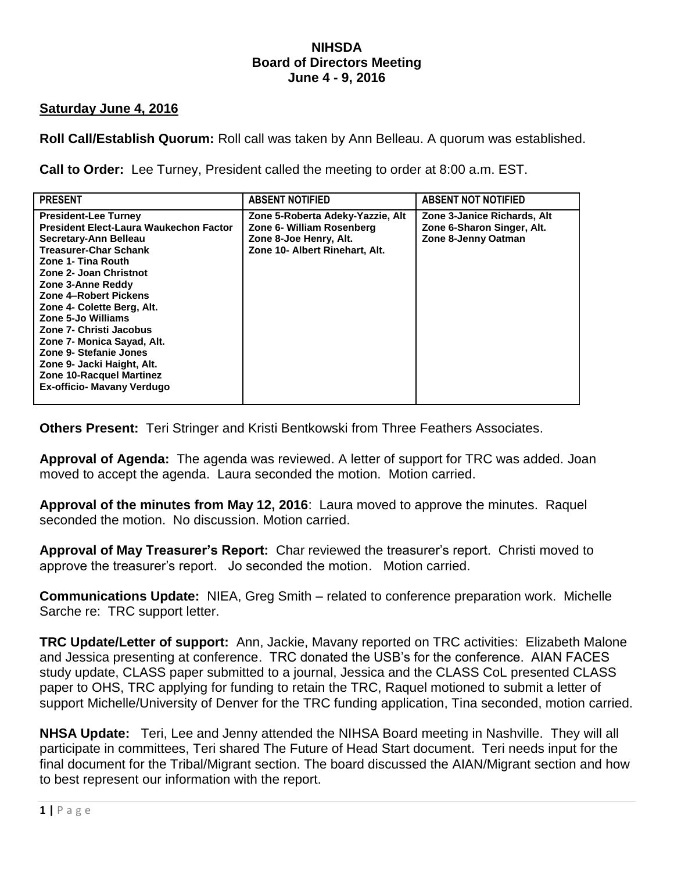### **NIHSDA Board of Directors Meeting June 4 - 9, 2016**

## **Saturday June 4, 2016**

**Roll Call/Establish Quorum:** Roll call was taken by Ann Belleau. A quorum was established.

**Call to Order:** Lee Turney, President called the meeting to order at 8:00 a.m. EST.

| <b>PRESENT</b>                                                                                                                                                                                                                                                                                                                                                                                                                                              | <b>ABSENT NOTIFIED</b>                                                                                                    | <b>ABSENT NOT NOTIFIED</b>                                                       |
|-------------------------------------------------------------------------------------------------------------------------------------------------------------------------------------------------------------------------------------------------------------------------------------------------------------------------------------------------------------------------------------------------------------------------------------------------------------|---------------------------------------------------------------------------------------------------------------------------|----------------------------------------------------------------------------------|
| <b>President-Lee Turney</b><br>President Elect-Laura Waukechon Factor<br>Secretary-Ann Belleau<br><b>Treasurer-Char Schank</b><br>Zone 1- Tina Routh<br>Zone 2- Joan Christnot<br>Zone 3-Anne Reddy<br>Zone 4-Robert Pickens<br>Zone 4- Colette Berg, Alt.<br>Zone 5-Jo Williams<br>Zone 7- Christi Jacobus<br>Zone 7- Monica Sayad, Alt.<br>Zone 9- Stefanie Jones<br>Zone 9- Jacki Haight, Alt.<br>Zone 10-Racquel Martinez<br>Ex-officio- Mavany Verdugo | Zone 5-Roberta Adeky-Yazzie, Alt<br>Zone 6- William Rosenberg<br>Zone 8-Joe Henry, Alt.<br>Zone 10- Albert Rinehart, Alt. | Zone 3-Janice Richards, Alt<br>Zone 6-Sharon Singer, Alt.<br>Zone 8-Jenny Oatman |

**Others Present:** Teri Stringer and Kristi Bentkowski from Three Feathers Associates.

**Approval of Agenda:** The agenda was reviewed. A letter of support for TRC was added. Joan moved to accept the agenda. Laura seconded the motion. Motion carried.

**Approval of the minutes from May 12, 2016**: Laura moved to approve the minutes. Raquel seconded the motion. No discussion. Motion carried.

**Approval of May Treasurer's Report:** Char reviewed the treasurer's report. Christi moved to approve the treasurer's report. Jo seconded the motion. Motion carried.

**Communications Update:** NIEA, Greg Smith – related to conference preparation work. Michelle Sarche re: TRC support letter.

**TRC Update/Letter of support:** Ann, Jackie, Mavany reported on TRC activities: Elizabeth Malone and Jessica presenting at conference. TRC donated the USB's for the conference. AIAN FACES study update, CLASS paper submitted to a journal, Jessica and the CLASS CoL presented CLASS paper to OHS, TRC applying for funding to retain the TRC, Raquel motioned to submit a letter of support Michelle/University of Denver for the TRC funding application, Tina seconded, motion carried.

**NHSA Update:** Teri, Lee and Jenny attended the NIHSA Board meeting in Nashville. They will all participate in committees, Teri shared The Future of Head Start document. Teri needs input for the final document for the Tribal/Migrant section. The board discussed the AIAN/Migrant section and how to best represent our information with the report.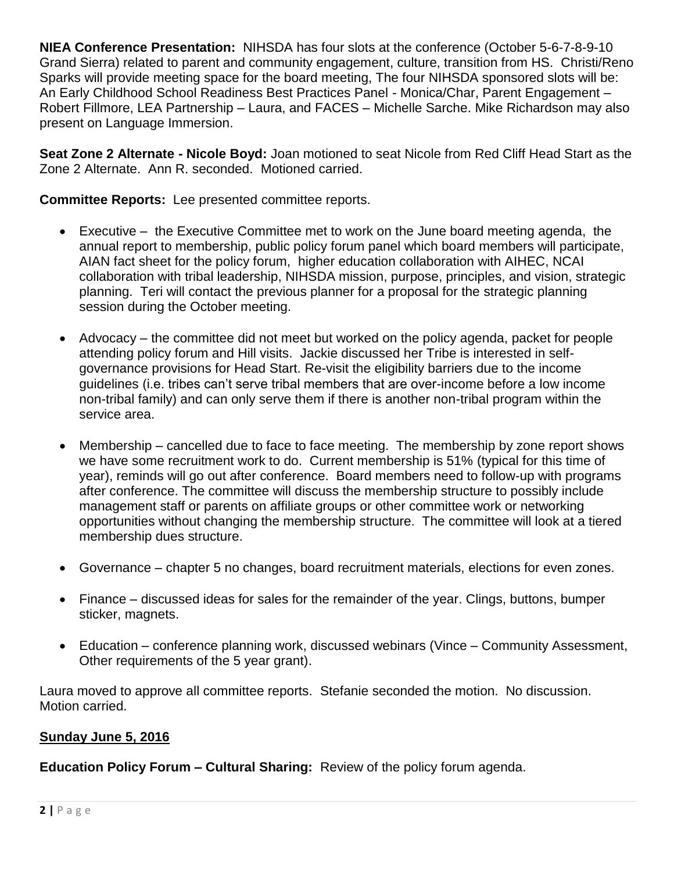**NIEA Conference Presentation:** NIHSDA has four slots at the conference (October 5-6-7-8-9-10 Grand Sierra) related to parent and community engagement, culture, transition from HS. Christi/Reno Sparks will provide meeting space for the board meeting, The four NIHSDA sponsored slots will be: An Early Childhood School Readiness Best Practices Panel - Monica/Char, Parent Engagement – Robert Fillmore, LEA Partnership – Laura, and FACES – Michelle Sarche. Mike Richardson may also present on Language Immersion.

**Seat Zone 2 Alternate - Nicole Boyd:** Joan motioned to seat Nicole from Red Cliff Head Start as the Zone 2 Alternate. Ann R. seconded. Motioned carried.

**Committee Reports:** Lee presented committee reports.

- Executive the Executive Committee met to work on the June board meeting agenda, the annual report to membership, public policy forum panel which board members will participate, AIAN fact sheet for the policy forum, higher education collaboration with AIHEC, NCAI collaboration with tribal leadership, NIHSDA mission, purpose, principles, and vision, strategic planning. Teri will contact the previous planner for a proposal for the strategic planning session during the October meeting.
- Advocacy the committee did not meet but worked on the policy agenda, packet for people attending policy forum and Hill visits. Jackie discussed her Tribe is interested in selfgovernance provisions for Head Start. Re-visit the eligibility barriers due to the income guidelines (i.e. tribes can't serve tribal members that are over-income before a low income non-tribal family) and can only serve them if there is another non-tribal program within the service area.
- Membership cancelled due to face to face meeting. The membership by zone report shows we have some recruitment work to do. Current membership is 51% (typical for this time of year), reminds will go out after conference. Board members need to follow-up with programs after conference. The committee will discuss the membership structure to possibly include management staff or parents on affiliate groups or other committee work or networking opportunities without changing the membership structure. The committee will look at a tiered membership dues structure.
- Governance chapter 5 no changes, board recruitment materials, elections for even zones.
- Finance discussed ideas for sales for the remainder of the year. Clings, buttons, bumper sticker, magnets.
- Education conference planning work, discussed webinars (Vince Community Assessment, Other requirements of the 5 year grant).

Laura moved to approve all committee reports. Stefanie seconded the motion. No discussion. Motion carried.

## **Sunday June 5, 2016**

**Education Policy Forum – Cultural Sharing:** Review of the policy forum agenda.